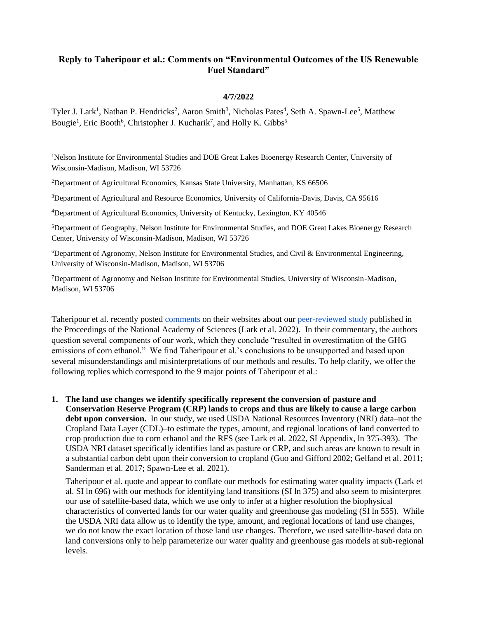# **Reply to Taheripour et al.: Comments on "Environmental Outcomes of the US Renewable Fuel Standard"**

#### **4/7/2022**

Tyler J. Lark<sup>1</sup>, Nathan P. Hendricks<sup>2</sup>, Aaron Smith<sup>3</sup>, Nicholas Pates<sup>4</sup>, Seth A. Spawn-Lee<sup>5</sup>, Matthew Bougie<sup>1</sup>, Eric Booth<sup>6</sup>, Christopher J. Kucharik<sup>7</sup>, and Holly K. Gibbs<sup>5</sup>

<sup>1</sup>Nelson Institute for Environmental Studies and DOE Great Lakes Bioenergy Research Center, University of Wisconsin-Madison, Madison, WI 53726

<sup>2</sup>Department of Agricultural Economics, Kansas State University, Manhattan, KS 66506

<sup>3</sup>Department of Agricultural and Resource Economics, University of California-Davis, Davis, CA 95616

<sup>4</sup>Department of Agricultural Economics, University of Kentucky, Lexington, KY 40546

<sup>5</sup>Department of Geography, Nelson Institute for Environmental Studies, and DOE Great Lakes Bioenergy Research Center, University of Wisconsin-Madison, Madison, WI 53726

<sup>6</sup>Department of Agronomy, Nelson Institute for Environmental Studies, and Civil & Environmental Engineering, University of Wisconsin-Madison, Madison, WI 53706

<sup>7</sup>Department of Agronomy and Nelson Institute for Environmental Studies, University of Wisconsin-Madison, Madison, WI 53706

Taheripour et al. recently posted [comments](https://greet.es.anl.gov/publication-comment_environ_outcomes_us_rfs) on their websites about our [peer-reviewed study](https://doi.org/10.1073/pnas.2101084119) published in the Proceedings of the National Academy of Sciences (Lark et al. 2022). In their commentary, the authors question several components of our work, which they conclude "resulted in overestimation of the GHG emissions of corn ethanol." We find Taheripour et al.'s conclusions to be unsupported and based upon several misunderstandings and misinterpretations of our methods and results. To help clarify, we offer the following replies which correspond to the 9 major points of Taheripour et al.:

**1. The land use changes we identify specifically represent the conversion of pasture and Conservation Reserve Program (CRP) lands to crops and thus are likely to cause a large carbon debt upon conversion.** In our study, we used USDA National Resources Inventory (NRI) data–not the Cropland Data Layer (CDL)–to estimate the types, amount, and regional locations of land converted to crop production due to corn ethanol and the RFS (see Lark et al. 2022, SI Appendix, ln 375-393). The USDA NRI dataset specifically identifies land as pasture or CRP, and such areas are known to result in a substantial carbon debt upon their conversion to cropland (Guo and Gifford 2002; Gelfand et al. 2011; Sanderman et al. 2017; Spawn-Lee et al. 2021).

Taheripour et al. quote and appear to conflate our methods for estimating water quality impacts (Lark et al. SI ln 696) with our methods for identifying land transitions (SI ln 375) and also seem to misinterpret our use of satellite-based data, which we use only to infer at a higher resolution the biophysical characteristics of converted lands for our water quality and greenhouse gas modeling (SI ln 555). While the USDA NRI data allow us to identify the type, amount, and regional locations of land use changes, we do not know the exact location of those land use changes. Therefore, we used satellite-based data on land conversions only to help parameterize our water quality and greenhouse gas models at sub-regional levels.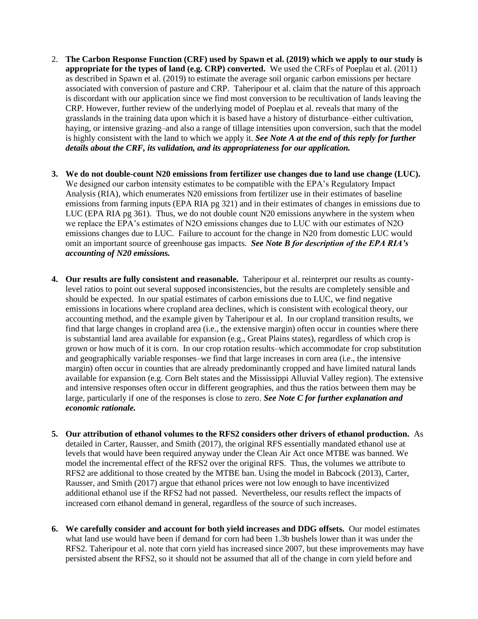- 2. **The Carbon Response Function (CRF) used by Spawn et al. (2019) which we apply to our study is appropriate for the types of land (e.g. CRP) converted.** We used the CRFs of Poeplau et al. (2011) as described in Spawn et al. (2019) to estimate the average soil organic carbon emissions per hectare associated with conversion of pasture and CRP. Taheripour et al. claim that the nature of this approach is discordant with our application since we find most conversion to be recultivation of lands leaving the CRP. However, further review of the underlying model of Poeplau et al. reveals that many of the grasslands in the training data upon which it is based have a history of disturbance–either cultivation, haying, or intensive grazing–and also a range of tillage intensities upon conversion, such that the model is highly consistent with the land to which we apply it. *See Note A at the end of this reply for further details about the CRF, its validation, and its appropriateness for our application.*
- **3. We do not double-count N20 emissions from fertilizer use changes due to land use change (LUC).**  We designed our carbon intensity estimates to be compatible with the EPA's Regulatory Impact Analysis (RIA), which enumerates N20 emissions from fertilizer use in their estimates of baseline emissions from farming inputs (EPA RIA pg 321) and in their estimates of changes in emissions due to LUC (EPA RIA pg 361). Thus, we do not double count N20 emissions anywhere in the system when we replace the EPA's estimates of N2O emissions changes due to LUC with our estimates of N2O emissions changes due to LUC. Failure to account for the change in N20 from domestic LUC would omit an important source of greenhouse gas impacts. *See Note B for description of the EPA RIA's accounting of N20 emissions.*
- **4. Our results are fully consistent and reasonable.** Taheripour et al. reinterpret our results as countylevel ratios to point out several supposed inconsistencies, but the results are completely sensible and should be expected. In our spatial estimates of carbon emissions due to LUC, we find negative emissions in locations where cropland area declines, which is consistent with ecological theory, our accounting method, and the example given by Taheripour et al. In our cropland transition results, we find that large changes in cropland area (i.e., the extensive margin) often occur in counties where there is substantial land area available for expansion (e.g., Great Plains states), regardless of which crop is grown or how much of it is corn. In our crop rotation results–which accommodate for crop substitution and geographically variable responses–we find that large increases in corn area (i.e., the intensive margin) often occur in counties that are already predominantly cropped and have limited natural lands available for expansion (e.g. Corn Belt states and the Mississippi Alluvial Valley region). The extensive and intensive responses often occur in different geographies, and thus the ratios between them may be large, particularly if one of the responses is close to zero. *See Note C for further explanation and economic rationale.*
- **5. Our attribution of ethanol volumes to the RFS2 considers other drivers of ethanol production.** As detailed in Carter, Rausser, and Smith (2017), the original RFS essentially mandated ethanol use at levels that would have been required anyway under the Clean Air Act once MTBE was banned. We model the incremental effect of the RFS2 over the original RFS. Thus, the volumes we attribute to RFS2 are additional to those created by the MTBE ban. Using the model in Babcock (2013), Carter, Rausser, and Smith (2017) argue that ethanol prices were not low enough to have incentivized additional ethanol use if the RFS2 had not passed. Nevertheless, our results reflect the impacts of increased corn ethanol demand in general, regardless of the source of such increases.
- **6. We carefully consider and account for both yield increases and DDG offsets.** Our model estimates what land use would have been if demand for corn had been 1.3b bushels lower than it was under the RFS2. Taheripour et al. note that corn yield has increased since 2007, but these improvements may have persisted absent the RFS2, so it should not be assumed that all of the change in corn yield before and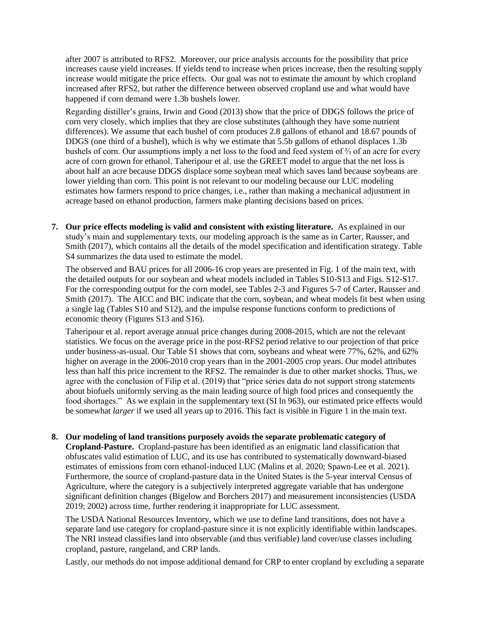after 2007 is attributed to RFS2. Moreover, our price analysis accounts for the possibility that price increases cause yield increases. If yields tend to increase when prices increase, then the resulting supply increase would mitigate the price effects. Our goal was not to estimate the amount by which cropland increased after RFS2, but rather the difference between observed cropland use and what would have happened if corn demand were 1.3b bushels lower.

Regarding distiller's grains, [Irwin and Good \(2013\)](https://farmdocdaily.illinois.edu/2013/07/understanding-pricing-distillers-grain.html) show that the price of DDGS follows the price of corn very closely, which implies that they are close substitutes (although they have some nutrient differences). We assume that each bushel of corn produces 2.8 gallons of ethanol and 18.67 pounds of DDGS (one third of a bushel), which is why we estimate that 5.5b gallons of ethanol displaces 1.3b bushels of corn. Our assumptions imply a net loss to the food and feed system of ⅔ of an acre for every acre of corn grown for ethanol. Taheripour et al. use the GREET model to argue that the net loss is about half an acre because DDGS displace some soybean meal which saves land because soybeans are lower yielding than corn. This point is not relevant to our modeling because our LUC modeling estimates how farmers respond to price changes, i.e., rather than making a mechanical adjustment in acreage based on ethanol production, farmers make planting decisions based on prices.

**7. Our price effects modeling is valid and consistent with existing literature.** As explained in our study's main and supplementary texts, our modeling approach is the same as in Carter, Rausser, and Smith (2017), which contains all the details of the model specification and identification strategy. Table S4 summarizes the data used to estimate the model.

The observed and BAU prices for all 2006-16 crop years are presented in Fig. 1 of the main text, with the detailed outputs for our soybean and wheat models included in Tables S10-S13 and Figs. S12-S17. For the corresponding output for the corn model, see Tables 2-3 and Figures 5-7 of Carter, Rausser and Smith (2017). The AICC and BIC indicate that the corn, soybean, and wheat models fit best when using a single lag (Tables S10 and S12), and the impulse response functions conform to predictions of economic theory (Figures S13 and S16).

Taheripour et al. report average annual price changes during 2008-2015, which are not the relevant statistics. We focus on the average price in the post-RFS2 period relative to our projection of that price under business-as-usual. Our Table S1 shows that corn, soybeans and wheat were 77%, 62%, and 62% higher on average in the 2006-2010 crop years than in the 2001-2005 crop years. Our model attributes less than half this price increment to the RFS2. The remainder is due to other market shocks. Thus, we agree with the conclusion of Filip et al. (2019) that "price series data do not support strong statements about biofuels uniformly serving as the main leading source of high food prices and consequently the food shortages." As we explain in the supplementary text (SI ln 963), our estimated price effects would be somewhat *larger* if we used all years up to 2016. This fact is visible in Figure 1 in the main text.

### **8. Our modeling of land transitions purposely avoids the separate problematic category of**

**Cropland-Pasture.** Cropland-pasture has been identified as an enigmatic land classification that obfuscates valid estimation of LUC, and its use has contributed to systematically downward-biased estimates of emissions from corn ethanol-induced LUC (Malins et al. 2020; Spawn-Lee et al. 2021). Furthermore, the source of cropland-pasture data in the United States is the 5-year interval Census of Agriculture, where the category is a subjectively interpreted aggregate variable that has undergone significant definition changes (Bigelow and Borchers 2017) and measurement inconsistencies (USDA 2019; 2002) across time, further rendering it inappropriate for LUC assessment.

The USDA National Resources Inventory, which we use to define land transitions, does not have a separate land use category for cropland-pasture since it is not explicitly identifiable within landscapes. The NRI instead classifies land into observable (and thus verifiable) land cover/use classes including cropland, pasture, rangeland, and CRP lands.

Lastly, our methods do not impose additional demand for CRP to enter cropland by excluding a separate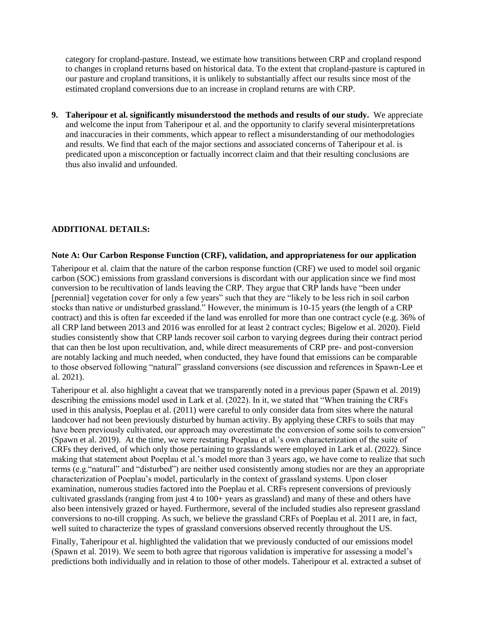category for cropland-pasture. Instead, we estimate how transitions between CRP and cropland respond to changes in cropland returns based on historical data. To the extent that cropland-pasture is captured in our pasture and cropland transitions, it is unlikely to substantially affect our results since most of the estimated cropland conversions due to an increase in cropland returns are with CRP.

**9. Taheripour et al. significantly misunderstood the methods and results of our study.** We appreciate and welcome the input from Taheripour et al. and the opportunity to clarify several misinterpretations and inaccuracies in their comments, which appear to reflect a misunderstanding of our methodologies and results. We find that each of the major sections and associated concerns of Taheripour et al. is predicated upon a misconception or factually incorrect claim and that their resulting conclusions are thus also invalid and unfounded.

## **ADDITIONAL DETAILS:**

#### **Note A: Our Carbon Response Function (CRF), validation, and appropriateness for our application**

Taheripour et al. claim that the nature of the carbon response function (CRF) we used to model soil organic carbon (SOC) emissions from grassland conversions is discordant with our application since we find most conversion to be recultivation of lands leaving the CRP. They argue that CRP lands have "been under [perennial] vegetation cover for only a few years" such that they are "likely to be less rich in soil carbon stocks than native or undisturbed grassland." However, the minimum is 10-15 years (the length of a CRP contract) and this is often far exceeded if the land was enrolled for more than one contract cycle (e.g. 36% of all CRP land between 2013 and 2016 was enrolled for at least 2 contract cycles; Bigelow et al. 2020). Field studies consistently show that CRP lands recover soil carbon to varying degrees during their contract period that can then be lost upon recultivation, and, while direct measurements of CRP pre- and post-conversion are notably lacking and much needed, when conducted, they have found that emissions can be comparable to those observed following "natural" grassland conversions (see discussion and references in Spawn-Lee et al. 2021).

Taheripour et al. also highlight a caveat that we transparently noted in a previous paper (Spawn et al. 2019) describing the emissions model used in Lark et al. (2022). In it, we stated that "When training the CRFs used in this analysis, Poeplau et al. (2011) were careful to only consider data from sites where the natural landcover had not been previously disturbed by human activity. By applying these CRFs to soils that may have been previously cultivated, our approach may overestimate the conversion of some soils to conversion" (Spawn et al. 2019). At the time, we were restating Poeplau et al.'s own characterization of the suite of CRFs they derived, of which only those pertaining to grasslands were employed in Lark et al. (2022). Since making that statement about Poeplau et al.'s model more than 3 years ago, we have come to realize that such terms (e.g."natural" and "disturbed") are neither used consistently among studies nor are they an appropriate characterization of Poeplau's model, particularly in the context of grassland systems. Upon closer examination, numerous studies factored into the Poeplau et al. CRFs represent conversions of previously cultivated grasslands (ranging from just 4 to 100+ years as grassland) and many of these and others have also been intensively grazed or hayed. Furthermore, several of the included studies also represent grassland conversions to no-till cropping. As such, we believe the grassland CRFs of Poeplau et al. 2011 are, in fact, well suited to characterize the types of grassland conversions observed recently throughout the US.

Finally, Taheripour et al. highlighted the validation that we previously conducted of our emissions model (Spawn et al. 2019). We seem to both agree that rigorous validation is imperative for assessing a model's predictions both individually and in relation to those of other models. Taheripour et al. extracted a subset of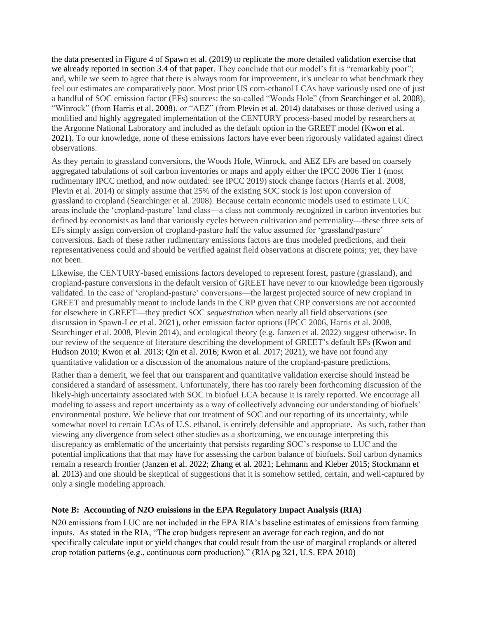the data presented in Figure 4 of Spawn et al. (2019) to replicate the more detailed validation exercise that we already reported in section 3.4 of that paper. They conclude that our model's fit is "remarkably poor"; and, while we seem to agree that there is always room for improvement, it's unclear to what benchmark they feel our estimates are comparatively poor. Most prior US corn-ethanol LCAs have variously used one of just a handful of SOC emission factor (EFs) sources: the so-called "Woods Hole" (from Searchinger et al. 2008), "Winrock" (from Harris et al. 2008), or "AEZ" (from Plevin et al. 2014) databases or those derived using a modified and highly aggregated implementation of the CENTURY process-based model by researchers at the Argonne National Laboratory and included as the default option in the GREET model (Kwon et al. 2021). To our knowledge, none of these emissions factors have ever been rigorously validated against direct observations.

As they pertain to grassland conversions, the Woods Hole, Winrock, and AEZ EFs are based on coarsely aggregated tabulations of soil carbon inventories or maps and apply either the IPCC 2006 Tier 1 (most rudimentary IPCC method, and now outdated: see IPCC 2019) stock change factors (Harris et al. 2008, Plevin et al. 2014) or simply assume that 25% of the existing SOC stock is lost upon conversion of grassland to cropland (Searchinger et al. 2008). Because certain economic models used to estimate LUC areas include the 'cropland-pasture' land class—a class not commonly recognized in carbon inventories but defined by economists as land that variously cycles between cultivation and perreniality—these three sets of EFs simply assign conversion of cropland-pasture half the value assumed for 'grassland/pasture' conversions. Each of these rather rudimentary emissions factors are thus modeled predictions, and their representativeness could and should be verified against field observations at discrete points; yet, they have not been.

Likewise, the CENTURY-based emissions factors developed to represent forest, pasture (grassland), and cropland-pasture conversions in the default version of GREET have never to our knowledge been rigorously validated. In the case of 'cropland-pasture' conversions—the largest projected source of new cropland in GREET and presumably meant to include lands in the CRP given that CRP conversions are not accounted for elsewhere in GREET—they predict SOC *sequestration* when nearly all field observations (see discussion in Spawn-Lee et al. 2021), other emission factor options (IPCC 2006, Harris et al. 2008, Searchinger et al. 2008, Plevin 2014), and ecological theory (e.g. Janzen et al. 2022) suggest otherwise. In our review of the sequence of literature describing the development of GREET's default EFs (Kwon and Hudson 2010; Kwon et al. 2013; Qin et al. 2016; Kwon et al. 2017; 2021), we have not found any quantitative validation or a discussion of the anomalous nature of the cropland-pasture predictions.

Rather than a demerit, we feel that our transparent and quantitative validation exercise should instead be considered a standard of assessment. Unfortunately, there has too rarely been forthcoming discussion of the likely-high uncertainty associated with SOC in biofuel LCA because it is rarely reported. We encourage all modeling to assess and report uncertainty as a way of collectively advancing our understanding of biofuels' environmental posture. We believe that our treatment of SOC and our reporting of its uncertainty, while somewhat novel to certain LCAs of U.S. ethanol, is entirely defensible and appropriate. As such, rather than viewing any divergence from select other studies as a shortcoming, we encourage interpreting this discrepancy as emblematic of the uncertainty that persists regarding SOC's response to LUC and the potential implications that that may have for assessing the carbon balance of biofuels. Soil carbon dynamics remain a research frontier (Janzen et al. 2022; Zhang et al. 2021; Lehmann and Kleber 2015; Stockmann et al. 2013) and one should be skeptical of suggestions that it is somehow settled, certain, and well-captured by only a single modeling approach.

# **Note B: Accounting of N2O emissions in the EPA Regulatory Impact Analysis (RIA)**

N20 emissions from LUC are not included in the EPA RIA's baseline estimates of emissions from farming inputs. As stated in the RIA, "The crop budgets represent an average for each region, and do not specifically calculate input or yield changes that could result from the use of marginal croplands or altered crop rotation patterns (e.g., continuous corn production)." (RIA pg 321, U.S. EPA 2010)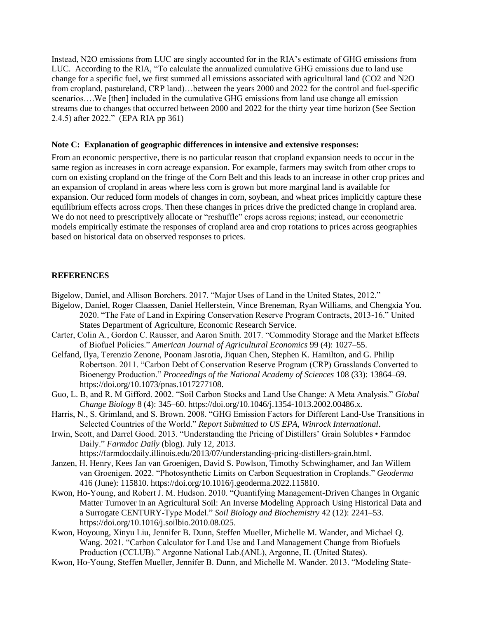Instead, N2O emissions from LUC are singly accounted for in the RIA's estimate of GHG emissions from LUC. According to the RIA, "To calculate the annualized cumulative GHG emissions due to land use change for a specific fuel, we first summed all emissions associated with agricultural land (CO2 and N2O from cropland, pastureland, CRP land)…between the years 2000 and 2022 for the control and fuel-specific scenarios….We [then] included in the cumulative GHG emissions from land use change all emission streams due to changes that occurred between 2000 and 2022 for the thirty year time horizon (See Section 2.4.5) after 2022." (EPA RIA pp 361)

#### **Note C: Explanation of geographic differences in intensive and extensive responses:**

From an economic perspective, there is no particular reason that cropland expansion needs to occur in the same region as increases in corn acreage expansion. For example, farmers may switch from other crops to corn on existing cropland on the fringe of the Corn Belt and this leads to an increase in other crop prices and an expansion of cropland in areas where less corn is grown but more marginal land is available for expansion. Our reduced form models of changes in corn, soybean, and wheat prices implicitly capture these equilibrium effects across crops. Then these changes in prices drive the predicted change in cropland area. We do not need to prescriptively allocate or "reshuffle" crops across regions; instead, our econometric models empirically estimate the responses of cropland area and crop rotations to prices across geographies based on historical data on observed responses to prices.

### **REFERENCES**

- Bigelow, Daniel, and Allison Borchers. 2017. "Major Uses of Land in the United States, 2012."
- Bigelow, Daniel, Roger Claassen, Daniel Hellerstein, Vince Breneman, Ryan Williams, and Chengxia You. 2020. "The Fate of Land in Expiring Conservation Reserve Program Contracts, 2013-16." United States Department of Agriculture, Economic Research Service.
- Carter, Colin A., Gordon C. Rausser, and Aaron Smith. 2017. "Commodity Storage and the Market Effects of Biofuel Policies." *American Journal of Agricultural Economics* 99 (4): 1027–55.
- Gelfand, Ilya, Terenzio Zenone, Poonam Jasrotia, Jiquan Chen, Stephen K. Hamilton, and G. Philip Robertson. 2011. "Carbon Debt of Conservation Reserve Program (CRP) Grasslands Converted to Bioenergy Production." *Proceedings of the National Academy of Sciences* 108 (33): 13864–69. https://doi.org/10.1073/pnas.1017277108.
- Guo, L. B, and R. M Gifford. 2002. "Soil Carbon Stocks and Land Use Change: A Meta Analysis." *Global Change Biology* 8 (4): 345–60. https://doi.org/10.1046/j.1354-1013.2002.00486.x.
- Harris, N., S. Grimland, and S. Brown. 2008. "GHG Emission Factors for Different Land-Use Transitions in Selected Countries of the World." *Report Submitted to US EPA, Winrock International*.
- Irwin, Scott, and Darrel Good. 2013. "Understanding the Pricing of Distillers' Grain Solubles Farmdoc Daily." *Farmdoc Daily* (blog). July 12, 2013. https://farmdocdaily.illinois.edu/2013/07/understanding-pricing-distillers-grain.html.
- Janzen, H. Henry, Kees Jan van Groenigen, David S. Powlson, Timothy Schwinghamer, and Jan Willem van Groenigen. 2022. "Photosynthetic Limits on Carbon Sequestration in Croplands." *Geoderma* 416 (June): 115810. https://doi.org/10.1016/j.geoderma.2022.115810.
- Kwon, Ho-Young, and Robert J. M. Hudson. 2010. "Quantifying Management-Driven Changes in Organic Matter Turnover in an Agricultural Soil: An Inverse Modeling Approach Using Historical Data and a Surrogate CENTURY-Type Model." *Soil Biology and Biochemistry* 42 (12): 2241–53. https://doi.org/10.1016/j.soilbio.2010.08.025.
- Kwon, Hoyoung, Xinyu Liu, Jennifer B. Dunn, Steffen Mueller, Michelle M. Wander, and Michael Q. Wang. 2021. "Carbon Calculator for Land Use and Land Management Change from Biofuels Production (CCLUB)." Argonne National Lab.(ANL), Argonne, IL (United States).
- Kwon, Ho-Young, Steffen Mueller, Jennifer B. Dunn, and Michelle M. Wander. 2013. "Modeling State-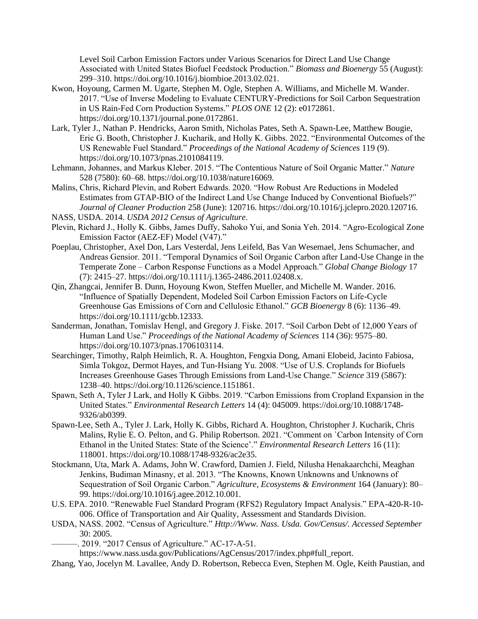Level Soil Carbon Emission Factors under Various Scenarios for Direct Land Use Change Associated with United States Biofuel Feedstock Production." *Biomass and Bioenergy* 55 (August): 299–310. https://doi.org/10.1016/j.biombioe.2013.02.021.

- Kwon, Hoyoung, Carmen M. Ugarte, Stephen M. Ogle, Stephen A. Williams, and Michelle M. Wander. 2017. "Use of Inverse Modeling to Evaluate CENTURY-Predictions for Soil Carbon Sequestration in US Rain-Fed Corn Production Systems." *PLOS ONE* 12 (2): e0172861. https://doi.org/10.1371/journal.pone.0172861.
- Lark, Tyler J., Nathan P. Hendricks, Aaron Smith, Nicholas Pates, Seth A. Spawn-Lee, Matthew Bougie, Eric G. Booth, Christopher J. Kucharik, and Holly K. Gibbs. 2022. "Environmental Outcomes of the US Renewable Fuel Standard." *Proceedings of the National Academy of Sciences* 119 (9). https://doi.org/10.1073/pnas.2101084119.
- Lehmann, Johannes, and Markus Kleber. 2015. "The Contentious Nature of Soil Organic Matter." *Nature* 528 (7580): 60–68. https://doi.org/10.1038/nature16069.
- Malins, Chris, Richard Plevin, and Robert Edwards. 2020. "How Robust Are Reductions in Modeled Estimates from GTAP-BIO of the Indirect Land Use Change Induced by Conventional Biofuels?" *Journal of Cleaner Production* 258 (June): 120716. https://doi.org/10.1016/j.jclepro.2020.120716.
- NASS, USDA. 2014. *USDA 2012 Census of Agriculture*.
- Plevin, Richard J., Holly K. Gibbs, James Duffy, Sahoko Yui, and Sonia Yeh. 2014. "Agro-Ecological Zone Emission Factor (AEZ-EF) Model (V47)."
- Poeplau, Christopher, Axel Don, Lars Vesterdal, Jens Leifeld, Bas Van Wesemael, Jens Schumacher, and Andreas Gensior. 2011. "Temporal Dynamics of Soil Organic Carbon after Land-Use Change in the Temperate Zone – Carbon Response Functions as a Model Approach." *Global Change Biology* 17 (7): 2415–27. https://doi.org/10.1111/j.1365-2486.2011.02408.x.
- Qin, Zhangcai, Jennifer B. Dunn, Hoyoung Kwon, Steffen Mueller, and Michelle M. Wander. 2016. "Influence of Spatially Dependent, Modeled Soil Carbon Emission Factors on Life-Cycle Greenhouse Gas Emissions of Corn and Cellulosic Ethanol." *GCB Bioenergy* 8 (6): 1136–49. https://doi.org/10.1111/gcbb.12333.
- Sanderman, Jonathan, Tomislav Hengl, and Gregory J. Fiske. 2017. "Soil Carbon Debt of 12,000 Years of Human Land Use." *Proceedings of the National Academy of Sciences* 114 (36): 9575–80. https://doi.org/10.1073/pnas.1706103114.
- Searchinger, Timothy, Ralph Heimlich, R. A. Houghton, Fengxia Dong, Amani Elobeid, Jacinto Fabiosa, Simla Tokgoz, Dermot Hayes, and Tun-Hsiang Yu. 2008. "Use of U.S. Croplands for Biofuels Increases Greenhouse Gases Through Emissions from Land-Use Change." *Science* 319 (5867): 1238–40. https://doi.org/10.1126/science.1151861.
- Spawn, Seth A, Tyler J Lark, and Holly K Gibbs. 2019. "Carbon Emissions from Cropland Expansion in the United States." *Environmental Research Letters* 14 (4): 045009. https://doi.org/10.1088/1748- 9326/ab0399.
- Spawn-Lee, Seth A., Tyler J. Lark, Holly K. Gibbs, Richard A. Houghton, Christopher J. Kucharik, Chris Malins, Rylie E. O. Pelton, and G. Philip Robertson. 2021. "Comment on `Carbon Intensity of Corn Ethanol in the United States: State of the Science'." *Environmental Research Letters* 16 (11): 118001. https://doi.org/10.1088/1748-9326/ac2e35.
- Stockmann, Uta, Mark A. Adams, John W. Crawford, Damien J. Field, Nilusha Henakaarchchi, Meaghan Jenkins, Budiman Minasny, et al. 2013. "The Knowns, Known Unknowns and Unknowns of Sequestration of Soil Organic Carbon." *Agriculture, Ecosystems & Environment* 164 (January): 80– 99. https://doi.org/10.1016/j.agee.2012.10.001.
- U.S. EPA. 2010. "Renewable Fuel Standard Program (RFS2) Regulatory Impact Analysis." EPA-420-R-10- 006. Office of Transportation and Air Quality, Assessment and Standards Division.
- USDA, NASS. 2002. "Census of Agriculture." *Http://Www. Nass. Usda. Gov/Census/. Accessed September* 30: 2005.
- . 2019. "2017 Census of Agriculture." AC-17-A-51.

https://www.nass.usda.gov/Publications/AgCensus/2017/index.php#full\_report.

Zhang, Yao, Jocelyn M. Lavallee, Andy D. Robertson, Rebecca Even, Stephen M. Ogle, Keith Paustian, and